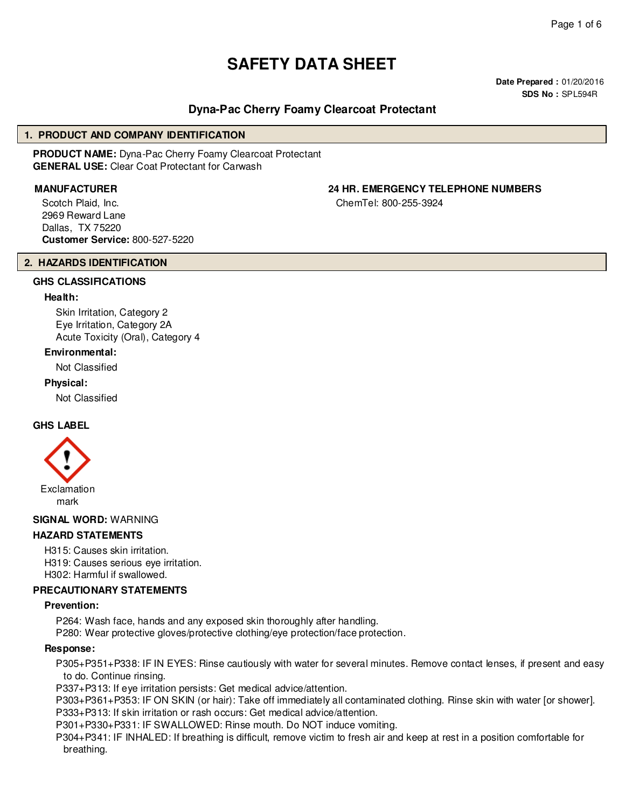# **SAFETY DATA SHEET**

**Date Prepared :** 01/20/2016 **SDS No :** SPL594R

# **Dyna-Pac Cherry Foamy Clearcoat Protectant**

#### **1. PRODUCT AND COMPANY IDENTIFICATION**

**PRODUCT NAME:** Dyna-Pac Cherry Foamy Clearcoat Protectant **GENERAL USE:** Clear Coat Protectant for Carwash

Scotch Plaid, Inc. 2969 Reward Lane Dallas, TX 75220 **Customer Service:** 800-527-5220

# **MANUFACTURER 24 HR. EMERGENCY TELEPHONE NUMBERS**

ChemTel: 800-255-3924

#### **2. HAZARDS IDENTIFICATION**

#### **GHS CLASSIFICATIONS**

#### **Health:**

Skin Irritation, Category 2 Eye Irritation, Category 2A Acute Toxicity (Oral), Category 4

#### **Environmental:**

Not Classified

#### **Physical:**

Not Classified

#### **GHS LABEL**



**SIGNAL WORD:** WARNING

#### **HAZARD STATEMENTS**

H315: Causes skin irritation. H319: Causes serious eye irritation. H302: Harmful if swallowed.

#### **PRECAUTIONARY STATEMENTS**

#### **Prevention:**

P264: Wash face, hands and any exposed skin thoroughly after handling. P280: Wear protective gloves/protective clothing/eye protection/face protection.

#### **Response:**

P305+P351+P338: IF IN EYES: Rinse cautiously with water for several minutes. Remove contact lenses, if present and easy to do. Continue rinsing.

P337+P313: If eye irritation persists: Get medical advice/attention.

P303+P361+P353: IF ON SKIN (or hair): Take off immediately all contaminated clothing. Rinse skin with water [or shower]. P333+P313: If skin irritation or rash occurs: Get medical advice/attention.

P301+P330+P331: IF SWALLOWED: Rinse mouth. Do NOT induce vomiting.

P304+P341: IF INHALED: If breathing is difficult, remove victim to fresh air and keep at rest in a position comfortable for breathing.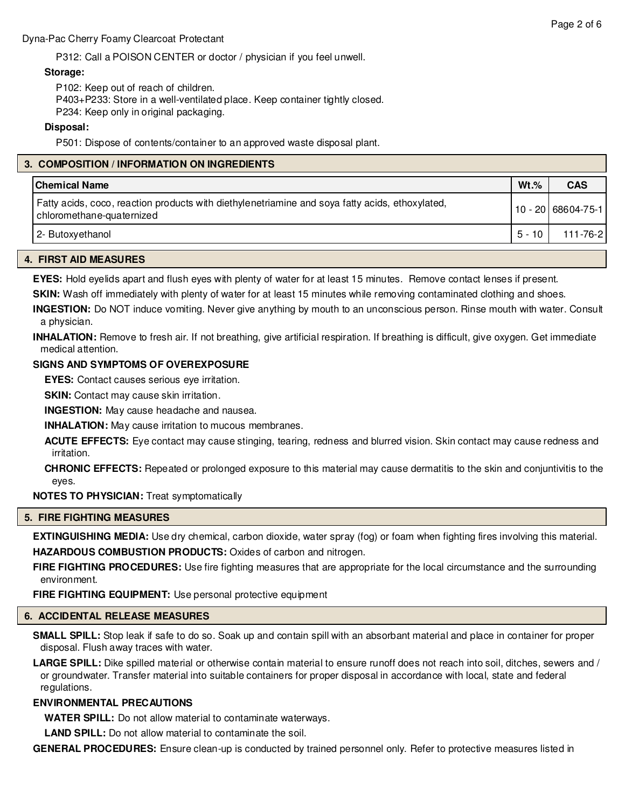#### **Storage:**

P102: Keep out of reach of children.

P403+P233: Store in a well-ventilated place. Keep container tightly closed.

P234: Keep only in original packaging.

# **Disposal:**

P501: Dispose of contents/container to an approved waste disposal plant.

# **3. COMPOSITION / INFORMATION ON INGREDIENTS**

| <b>Chemical Name</b>                                                                                                         | $Wt.\%$ | <b>CAS</b>         |
|------------------------------------------------------------------------------------------------------------------------------|---------|--------------------|
| Fatty acids, coco, reaction products with diethylenetriamine and soya fatty acids, ethoxylated,<br>chloromethane-quaternized |         | 10 - 20 68604-75-1 |
| 2- Butoxyethanol                                                                                                             | 5 - 10  | 111-76-2           |

# **4. FIRST AID MEASURES**

**EYES:** Hold eyelids apart and flush eyes with plenty of water for at least 15 minutes. Remove contact lenses if present.

**SKIN:** Wash off immediately with plenty of water for at least 15 minutes while removing contaminated clothing and shoes.

**INGESTION:** Do NOT induce vomiting. Never give anything by mouth to an unconscious person. Rinse mouth with water. Consult a physician.

**INHALATION:** Remove to fresh air. If not breathing, give artificial respiration. If breathing is difficult, give oxygen. Get immediate medical attention.

#### **SIGNS AND SYMPTOMS OF OVEREXPOSURE**

**EYES:** Contact causes serious eye irritation.

**SKIN:** Contact may cause skin irritation.

**INGESTION:** May cause headache and nausea.

**INHALATION:** May cause irritation to mucous membranes.

**ACUTE EFFECTS:** Eye contact may cause stinging, tearing, redness and blurred vision. Skin contact may cause redness and irritation.

**CHRONIC EFFECTS:** Repeated or prolonged exposure to this material may cause dermatitis to the skin and conjuntivitis to the eyes.

**NOTES TO PHYSICIAN:** Treat symptomatically

# **5. FIRE FIGHTING MEASURES**

**EXTINGUISHING MEDIA:** Use dry chemical, carbon dioxide, water spray (fog) or foam when fighting fires involving this material. **HAZARDOUS COMBUSTION PRODUCTS:** Oxides of carbon and nitrogen.

**FIRE FIGHTING PROCEDURES:** Use fire fighting measures that are appropriate for the local circumstance and the surrounding environment.

**FIRE FIGHTING EQUIPMENT:** Use personal protective equipment

# **6. ACCIDENTAL RELEASE MEASURES**

**SMALL SPILL:** Stop leak if safe to do so. Soak up and contain spill with an absorbant material and place in container for proper disposal. Flush away traces with water.

**LARGE SPILL:** Dike spilled material or otherwise contain material to ensure runoff does not reach into soil, ditches, sewers and / or groundwater. Transfer material into suitable containers for proper disposal in accordance with local, state and federal regulations.

#### **ENVIRONMENTAL PRECAUTIONS**

**WATER SPILL:** Do not allow material to contaminate waterways.

**LAND SPILL:** Do not allow material to contaminate the soil.

**GENERAL PROCEDURES:** Ensure clean-up is conducted by trained personnel only. Refer to protective measures listed in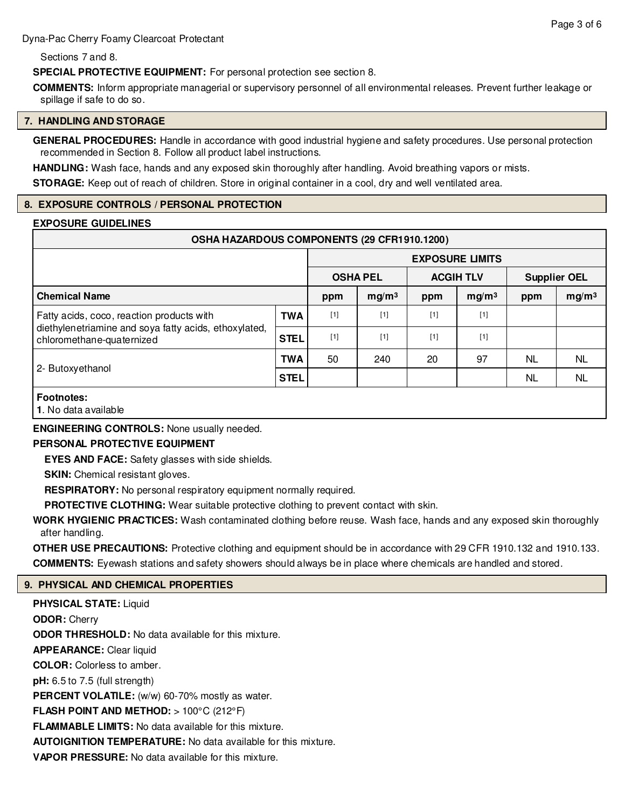Dyna-Pac Cherry Foamy Clearcoat Protectant

Sections 7 and 8.

**SPECIAL PROTECTIVE EQUIPMENT:** For personal protection see section 8.

**COMMENTS:** Inform appropriate managerial or supervisory personnel of all environmental releases. Prevent further leakage or spillage if safe to do so.

#### **7. HANDLING AND STORAGE**

**GENERAL PROCEDURES:** Handle in accordance with good industrial hygiene and safety procedures. Use personal protection recommended in Section 8. Follow all product label instructions.

**HANDLING:** Wash face, hands and any exposed skin thoroughly after handling. Avoid breathing vapors or mists.

**STORAGE:** Keep out of reach of children. Store in original container in a cool, dry and well ventilated area.

# **8. EXPOSURE CONTROLS / PERSONAL PROTECTION**

#### **EXPOSURE GUIDELINES**

| OSHA HAZARDOUS COMPONENTS (29 CFR1910.1200)                                                                                     |             |                        |                   |                  |                   |                     |                   |
|---------------------------------------------------------------------------------------------------------------------------------|-------------|------------------------|-------------------|------------------|-------------------|---------------------|-------------------|
|                                                                                                                                 |             | <b>EXPOSURE LIMITS</b> |                   |                  |                   |                     |                   |
|                                                                                                                                 |             | <b>OSHA PEL</b>        |                   | <b>ACGIH TLV</b> |                   | <b>Supplier OEL</b> |                   |
| <b>Chemical Name</b>                                                                                                            |             | ppm                    | mg/m <sup>3</sup> | ppm              | mg/m <sup>3</sup> | ppm                 | mg/m <sup>3</sup> |
| Fatty acids, coco, reaction products with<br>diethylenetriamine and soya fatty acids, ethoxylated,<br>chloromethane-quaternized | <b>TWA</b>  | $[1]$                  | $[1]$             | $[1]$            | [1]               |                     |                   |
|                                                                                                                                 | <b>STEL</b> | $[1]$                  | $[1]$             | $[1]$            | $[1]$             |                     |                   |
| 2- Butoxyethanol                                                                                                                | <b>TWA</b>  | 50                     | 240               | 20               | 97                | NL.                 | <b>NL</b>         |
|                                                                                                                                 | <b>STEL</b> |                        |                   |                  |                   | <b>NL</b>           | <b>NL</b>         |
| <b>Footnotes:</b>                                                                                                               |             |                        |                   |                  |                   |                     |                   |

**1**. No data available

**ENGINEERING CONTROLS:** None usually needed.

# **PERSONAL PROTECTIVE EQUIPMENT**

**EYES AND FACE:** Safety glasses with side shields.

**SKIN:** Chemical resistant gloves.

**RESPIRATORY:** No personal respiratory equipment normally required.

**PROTECTIVE CLOTHING:** Wear suitable protective clothing to prevent contact with skin.

**WORK HYGIENIC PRACTICES:** Wash contaminated clothing before reuse. Wash face, hands and any exposed skin thoroughly after handling.

**OTHER USE PRECAUTIONS:** Protective clothing and equipment should be in accordance with 29 CFR 1910.132 and 1910.133. **COMMENTS:** Eyewash stations and safety showers should always be in place where chemicals are handled and stored.

# **9. PHYSICAL AND CHEMICAL PROPERTIES**

**PHYSICAL STATE:** Liquid **ODOR:** Cherry **ODOR THRESHOLD:** No data available for this mixture. **APPEARANCE:** Clear liquid **COLOR:** Colorless to amber. **pH:** 6.5 to 7.5 (full strength) PERCENT VOLATILE: (w/w) 60-70% mostly as water. **FLASH POINT AND METHOD:** > 100°C (212°F) **FLAMMABLE LIMITS:** No data available for this mixture. **AUTOIGNITION TEMPERATURE:** No data available for this mixture. **VAPOR PRESSURE:** No data available for this mixture.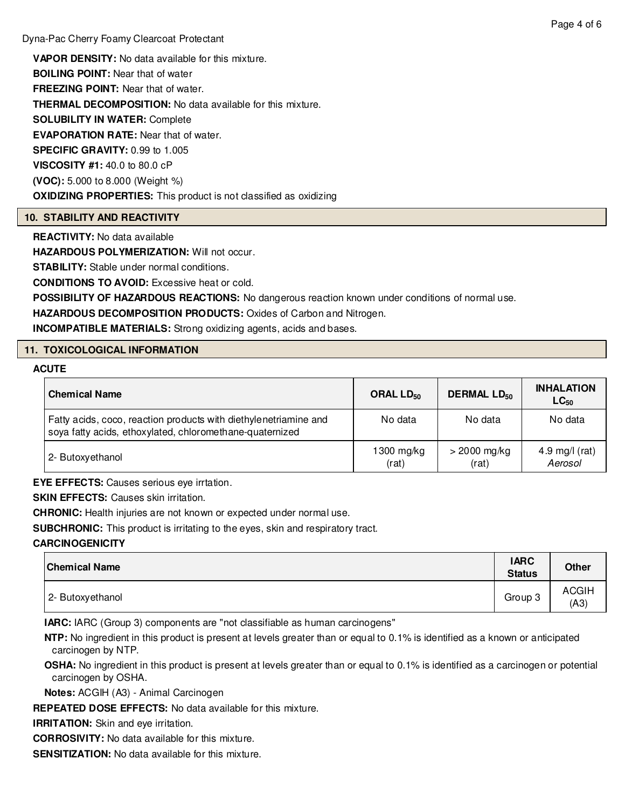**VAPOR DENSITY:** No data available for this mixture. **BOILING POINT:** Near that of water **FREEZING POINT:** Near that of water. **THERMAL DECOMPOSITION:** No data available for this mixture. **SOLUBILITY IN WATER:** Complete **EVAPORATION RATE:** Near that of water. **SPECIFIC GRAVITY:** 0.99 to 1.005 **VISCOSITY #1:** 40.0 to 80.0 cP **(VOC):** 5.000 to 8.000 (Weight %) **OXIDIZING PROPERTIES:** This product is not classified as oxidizing

#### **10. STABILITY AND REACTIVITY**

**REACTIVITY:** No data available

**HAZARDOUS POLYMERIZATION: Will not occur.** 

**STABILITY:** Stable under normal conditions.

**CONDITIONS TO AVOID:** Excessive heat or cold.

**POSSIBILITY OF HAZARDOUS REACTIONS:** No dangerous reaction known under conditions of normal use.

**HAZARDOUS DECOMPOSITION PRODUCTS:** Oxides of Carbon and Nitrogen.

**INCOMPATIBLE MATERIALS:** Strong oxidizing agents, acids and bases.

# **11. TOXICOLOGICAL INFORMATION**

#### **ACUTE**

| <b>Chemical Name</b>                                                                                                         | ORAL $LD_{50}$        | <b>DERMAL LD<sub>50</sub></b> | <b>INHALATION</b><br>$LC_{50}$ |
|------------------------------------------------------------------------------------------------------------------------------|-----------------------|-------------------------------|--------------------------------|
| Fatty acids, coco, reaction products with diethylenetriamine and<br>soya fatty acids, ethoxylated, chloromethane-quaternized | No data               | No data                       | No data                        |
| 2- Butoxyethanol                                                                                                             | $1300$ mg/kg<br>(rat) | $>$ 2000 mg/kg<br>(rat)       | 4.9 mg/l $(rat)$<br>Aerosol    |

**EYE EFFECTS:** Causes serious eye irrtation.

**SKIN EFFECTS: Causes skin irritation.** 

**CHRONIC:** Health injuries are not known or expected under normal use.

**SUBCHRONIC:** This product is irritating to the eyes, skin and respiratory tract.

#### **CARCINOGENICITY**

| <b>Chemical Name</b> | <b>IARC</b><br><b>Status</b> | <b>Other</b>         |
|----------------------|------------------------------|----------------------|
| 2- Butoxyethanol     | Group 3                      | <b>ACGIH</b><br>(A3) |

**IARC:** IARC (Group 3) components are "not classifiable as human carcinogens"

**NTP:** No ingredient in this product is present at levels greater than or equal to 0.1% is identified as a known or anticipated carcinogen by NTP.

**OSHA:** No ingredient in this product is present at levels greater than or equal to 0.1% is identified as a carcinogen or potential carcinogen by OSHA.

**Notes:** ACGIH (A3) - Animal Carcinogen

**REPEATED DOSE EFFECTS:** No data available for this mixture.

**IRRITATION:** Skin and eye irritation.

**CORROSIVITY:** No data available for this mixture.

**SENSITIZATION:** No data available for this mixture.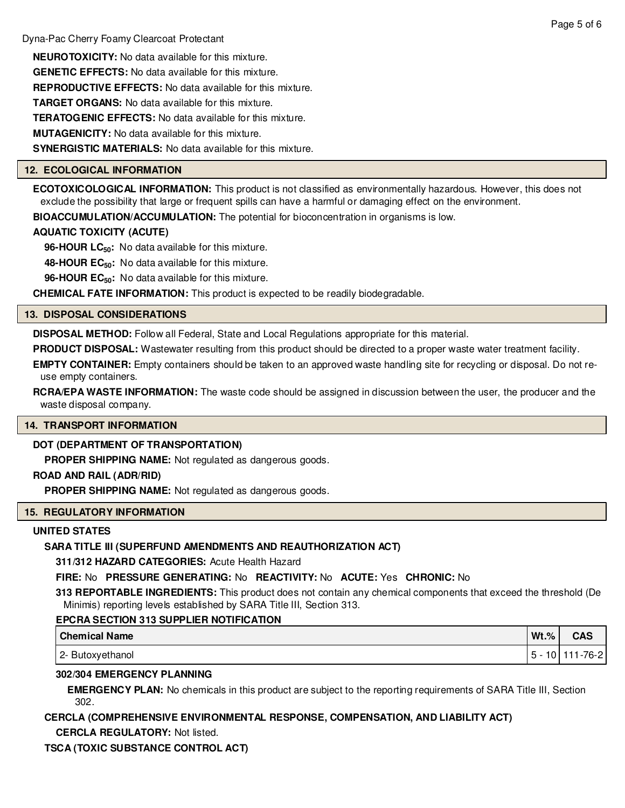**NEUROTOXICITY:** No data available for this mixture. **GENETIC EFFECTS:** No data available for this mixture. **REPRODUCTIVE EFFECTS:** No data available for this mixture. **TARGET ORGANS:** No data available for this mixture. **TERATOGENIC EFFECTS:** No data available for this mixture. **MUTAGENICITY:** No data available for this mixture. **SYNERGISTIC MATERIALS:** No data available for this mixture.

# **12. ECOLOGICAL INFORMATION**

**ECOTOXICOLOGICAL INFORMATION:** This product is not classified as environmentally hazardous. However, this does not exclude the possibility that large or frequent spills can have a harmful or damaging effect on the environment.

**BIOACCUMULATION/ACCUMULATION:** The potential for bioconcentration in organisms is low.

# **AQUATIC TOXICITY (ACUTE)**

**96-HOUR LC50:** No data available for this mixture.

**48-HOUR EC50:** No data available for this mixture.

**96-HOUR EC50:** No data available for this mixture.

**CHEMICAL FATE INFORMATION:** This product is expected to be readily biodegradable.

#### **13. DISPOSAL CONSIDERATIONS**

**DISPOSAL METHOD:** Follow all Federal, State and Local Regulations appropriate for this material.

**PRODUCT DISPOSAL:** Wastewater resulting from this product should be directed to a proper waste water treatment facility.

**EMPTY CONTAINER:** Empty containers should be taken to an approved waste handling site for recycling or disposal. Do not reuse empty containers.

**RCRA/EPA WASTE INFORMATION:** The waste code should be assigned in discussion between the user, the producer and the waste disposal company.

#### **14. TRANSPORT INFORMATION**

# **DOT (DEPARTMENT OF TRANSPORTATION)**

**PROPER SHIPPING NAME:** Not regulated as dangerous goods.

#### **ROAD AND RAIL (ADR/RID)**

**PROPER SHIPPING NAME:** Not regulated as dangerous goods.

# **15. REGULATORY INFORMATION**

#### **UNITED STATES**

# **SARA TITLE III (SUPERFUND AMENDMENTS AND REAUTHORIZATION ACT)**

**311/312 HAZARD CATEGORIES:** Acute Health Hazard

**FIRE:** No **PRESSURE GENERATING:** No **REACTIVITY:** No **ACUTE:** Yes **CHRONIC:** No

**313 REPORTABLE INGREDIENTS:** This product does not contain any chemical components that exceed the threshold (De Minimis) reporting levels established by SARA Title III, Section 313.

# **EPCRA SECTION 313 SUPPLIER NOTIFICATION**

| <b>Chemical Name</b> | $Wt.$ % | <b>CAS</b>            |
|----------------------|---------|-----------------------|
| 2- Butoxyethanol     |         | 5 - 10   111 - 76 - 2 |

# **302/304 EMERGENCY PLANNING**

**EMERGENCY PLAN:** No chemicals in this product are subject to the reporting requirements of SARA Title III, Section 302.

# **CERCLA (COMPREHENSIVE ENVIRONMENTAL RESPONSE, COMPENSATION, AND LIABILITY ACT)**

**CERCLA REGULATORY:** Not listed.

# **TSCA (TOXIC SUBSTANCE CONTROL ACT)**